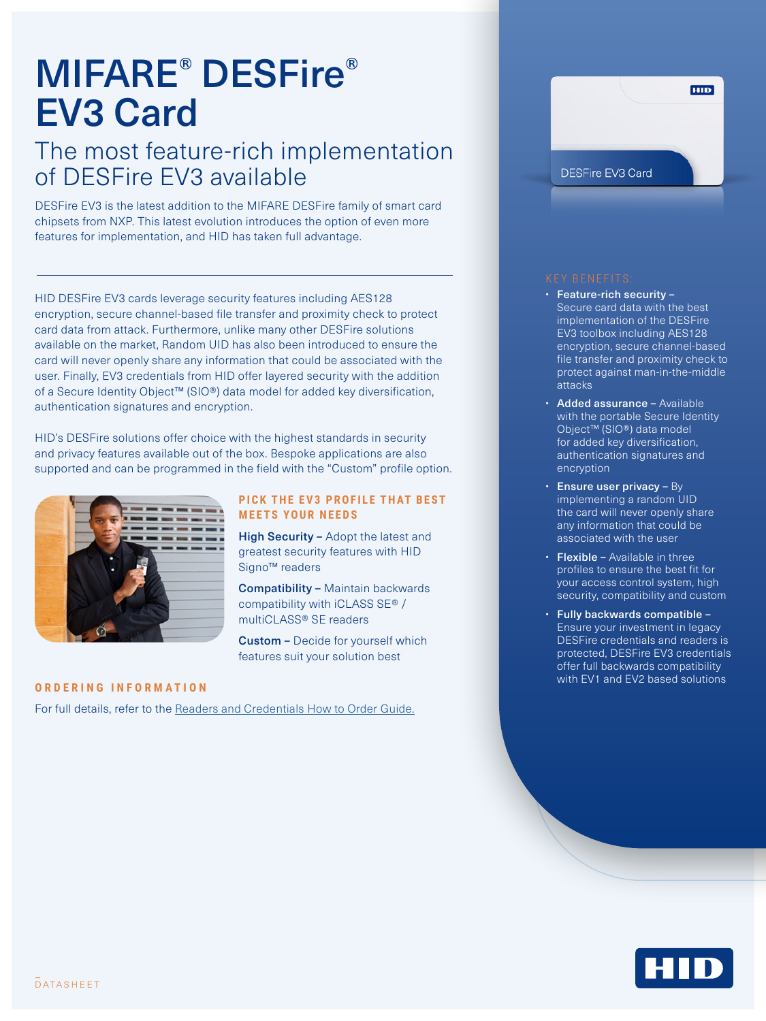# MIFARE® DESFire® EV3 Card

## The most feature-rich implementation of DESFire EV3 available

DESFire EV3 is the latest addition to the MIFARE DESFire family of smart card chipsets from NXP. This latest evolution introduces the option of even more features for implementation, and HID has taken full advantage.

HID DESFire EV3 cards leverage security features including AES128 encryption, secure channel-based file transfer and proximity check to protect card data from attack. Furthermore, unlike many other DESFire solutions available on the market, Random UID has also been introduced to ensure the card will never openly share any information that could be associated with the user. Finally, EV3 credentials from HID offer layered security with the addition of a Secure Identity Object™ (SIO®) data model for added key diversification, authentication signatures and encryption.

HID's DESFire solutions offer choice with the highest standards in security and privacy features available out of the box. Bespoke applications are also supported and can be programmed in the field with the "Custom" profile option.



### **PICK THE EV3 PROFILE THAT BEST [MEETS YOUR NEEDS](https://www.hidglobal.com/node/25861)**

High Security - Adopt the latest and [greatest security features with HID](https://www.hidglobal.com/node/25861)  [Signo™ readers](https://www.hidglobal.com/node/25861)

Compatibility – [Maintain backwards](https://www.hidglobal.com/node/25861)  [compatibility with iCLASS SE® /](https://www.hidglobal.com/node/25861)  [multiCLASS® SE readers](https://www.hidglobal.com/node/25861)

Custom – [Decide for yourself which](https://www.hidglobal.com/node/25861)  [features suit your solution best](https://www.hidglobal.com/node/25861) 

### **ORDERING INFORMATION**

For full details, refer to the [Readers and Credentials How to Order Guide.](https://www.hidglobal.com/sites/default/files/resource_files/plt-02630_c7_readers_and_credentials_htog.pdf)



- Feature-rich security Secure card data with the best implementation of the DESFire EV3 toolbox including AES128 encryption, secure channel-based file transfer and proximity check to protect against man-in-the-middle attacks
- Added assurance Available with the portable Secure Identity Object™ (SIO®) data model for added key diversification, authentication signatures and encryption
- $\cdot$  Ensure user privacy By implementing a random UID the card will never openly share any information that could be associated with the user
- Flexible Available in three profiles to ensure the best fit for your access control system, high security, compatibility and custom
- Fully backwards compatible Ensure your investment in legacy DESFire credentials and readers is protected, DESFire EV3 credentials offer full backwards compatibility with EV1 and EV2 based solutions